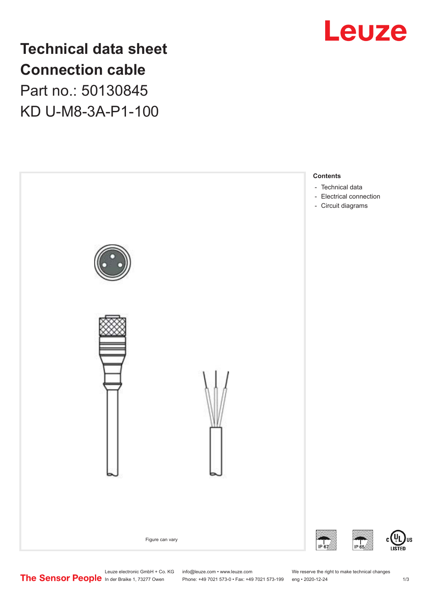

**Technical data sheet Connection cable** Part no.: 50130845 KD U-M8-3A-P1-100



Leuze electronic GmbH + Co. KG info@leuze.com • www.leuze.com We reserve the right to make technical changes<br>
The Sensor People in der Braike 1, 73277 Owen Phone: +49 7021 573-0 • Fax: +49 7021 573-199 eng • 2020-12-24 Phone: +49 7021 573-0 • Fax: +49 7021 573-199 eng • 2020-12-24 1 2020-12-24

US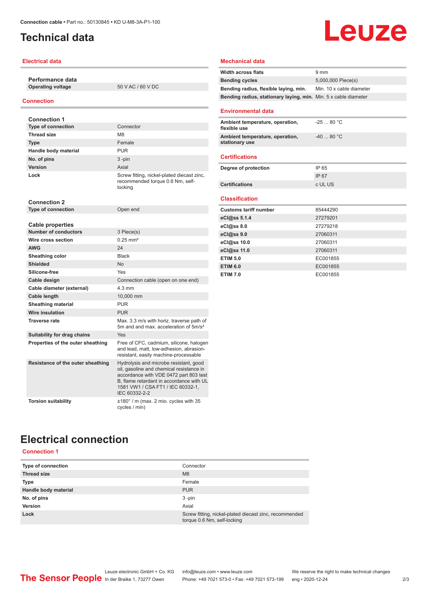## <span id="page-1-0"></span>**Technical data**

### **Electrical data**

**Performance data Operating voltage** 50 V AC / 60 V DC

#### **Connection**

| <b>Connection 1</b>               |                                                                                                                                                                                                                                |
|-----------------------------------|--------------------------------------------------------------------------------------------------------------------------------------------------------------------------------------------------------------------------------|
| <b>Type of connection</b>         | Connector                                                                                                                                                                                                                      |
| <b>Thread size</b>                | M <sub>8</sub>                                                                                                                                                                                                                 |
| <b>Type</b>                       | Female                                                                                                                                                                                                                         |
| Handle body material              | <b>PUR</b>                                                                                                                                                                                                                     |
| No. of pins                       | $3 - pin$                                                                                                                                                                                                                      |
| Version                           | Axial                                                                                                                                                                                                                          |
| Lock                              | Screw fitting, nickel-plated diecast zinc,<br>recommended torque 0.6 Nm, self-<br>locking                                                                                                                                      |
| <b>Connection 2</b>               |                                                                                                                                                                                                                                |
| <b>Type of connection</b>         | Open end                                                                                                                                                                                                                       |
| <b>Cable properties</b>           |                                                                                                                                                                                                                                |
| <b>Number of conductors</b>       | 3 Piece(s)                                                                                                                                                                                                                     |
| Wire cross section                | $0.25$ mm <sup>2</sup>                                                                                                                                                                                                         |
| <b>AWG</b>                        | 24                                                                                                                                                                                                                             |
| Sheathing color                   | <b>Black</b>                                                                                                                                                                                                                   |
| <b>Shielded</b>                   | N <sub>0</sub>                                                                                                                                                                                                                 |
| Silicone-free                     | Yes                                                                                                                                                                                                                            |
| Cable design                      | Connection cable (open on one end)                                                                                                                                                                                             |
| Cable diameter (external)         | $4.3 \text{ mm}$                                                                                                                                                                                                               |
| Cable length                      | 10,000 mm                                                                                                                                                                                                                      |
| <b>Sheathing material</b>         | <b>PUR</b>                                                                                                                                                                                                                     |
| <b>Wire insulation</b>            | <b>PUR</b>                                                                                                                                                                                                                     |
| <b>Traverse rate</b>              | Max. 3.3 m/s with horiz. traverse path of<br>5m and and max, acceleration of 5m/s <sup>2</sup>                                                                                                                                 |
| Suitability for drag chains       | Yes                                                                                                                                                                                                                            |
| Properties of the outer sheathing | Free of CFC, cadmium, silicone, halogen<br>and lead, matt, low-adhesion, abrasion-<br>resistant, easily machine-processable                                                                                                    |
| Resistance of the outer sheathing | Hydrolysis and microbe resistant, good<br>oil, gasoline and chemical resistance in<br>accordance with VDE 0472 part 803 test<br>B, flame retardant in accordance with UL<br>1581 VW1 / CSA FT1 / IEC 60332-1.<br>IEC 60332-2-2 |
| <b>Torsion suitability</b>        | ±180° / m (max. 2 mio. cycles with 35<br>cycles / min)                                                                                                                                                                         |

### **Mechanical data**

| <b>Width across flats</b>                                       | 9 <sub>mm</sub>          |
|-----------------------------------------------------------------|--------------------------|
| <b>Bending cycles</b>                                           | 5,000,000 Piece(s)       |
| Bending radius, flexible laying, min.                           | Min. 10 x cable diameter |
| Bending radius, stationary laying, min. Min. 5 x cable diameter |                          |
| <b>Environmental data</b>                                       |                          |
| Ambient temperature, operation,<br>flexible use                 | $-2580 °C$               |
| Ambient temperature, operation,<br>stationary use               | $-4080 °C$               |
| <b>Certifications</b>                                           |                          |
| Degree of protection                                            | IP 65                    |
|                                                                 | <b>IP67</b>              |
| <b>Certifications</b>                                           | c UL US                  |
|                                                                 |                          |
| <b>Classification</b>                                           |                          |
| <b>Customs tariff number</b>                                    | 85444290                 |
| eCl@ss 5.1.4                                                    | 27279201                 |
| eCl@ss 8.0                                                      | 27279218                 |
| eCl@ss 9.0                                                      | 27060311                 |
| eCl@ss 10.0                                                     | 27060311                 |
| eCl@ss 11.0                                                     | 27060311                 |
| <b>ETIM 5.0</b>                                                 | EC001855                 |
| <b>ETIM 6.0</b>                                                 | EC001855                 |

**Leuze** 

# **Electrical connection**

**Connection 1**

| Type of connection   | Connector                                                                             |
|----------------------|---------------------------------------------------------------------------------------|
| <b>Thread size</b>   | M <sub>8</sub>                                                                        |
| Type                 | Female                                                                                |
| Handle body material | <b>PUR</b>                                                                            |
| No. of pins          | $3 - pin$                                                                             |
| <b>Version</b>       | Axial                                                                                 |
| Lock                 | Screw fitting, nickel-plated diecast zinc, recommended<br>torque 0.6 Nm, self-locking |